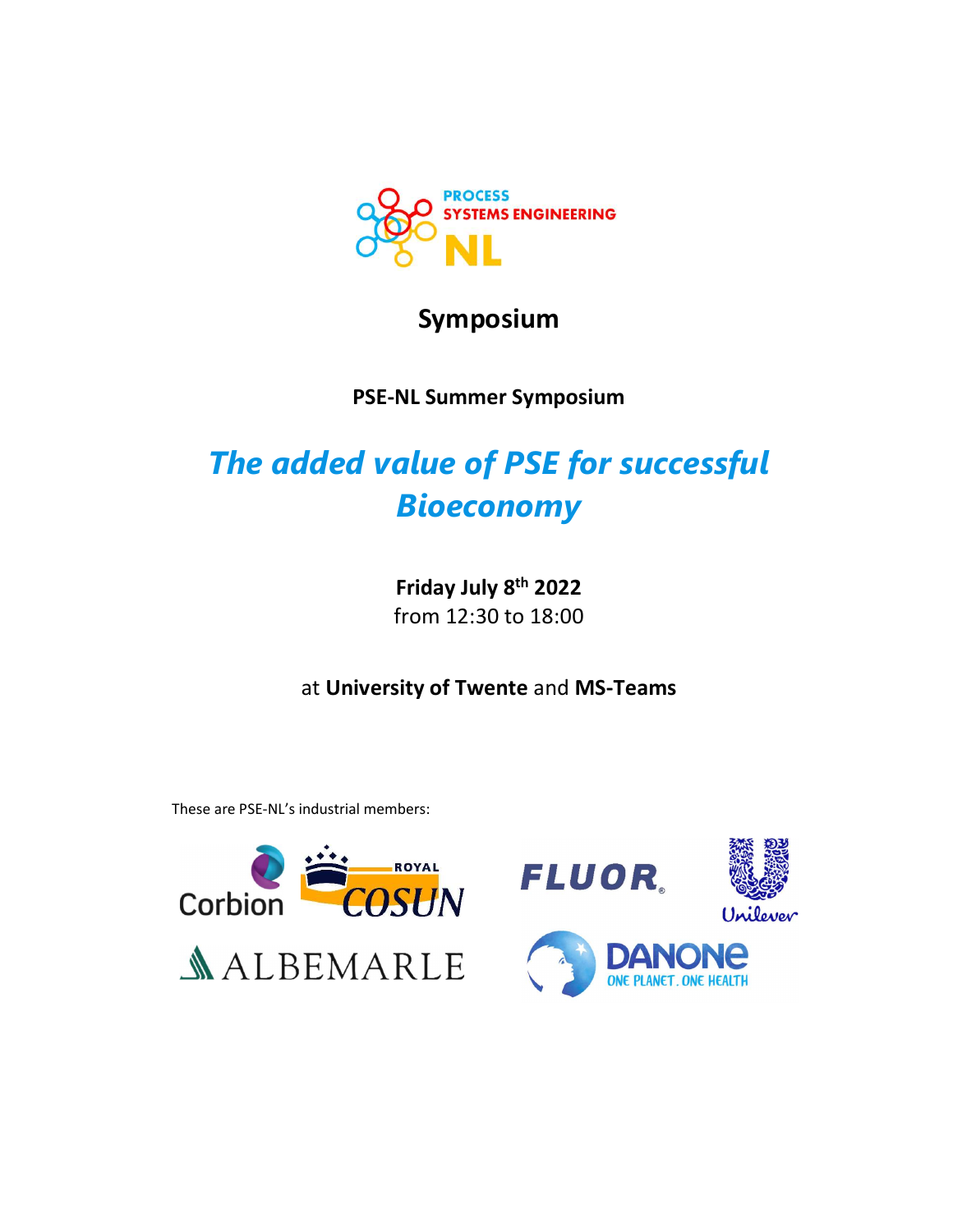

# Symposium

# PSE-NL Summer Symposium

# The added value of PSE for successful Bioeconomy

Friday July 8th 2022 from 12:30 to 18:00

at University of Twente and MS-Teams

These are PSE-NL's industrial members:



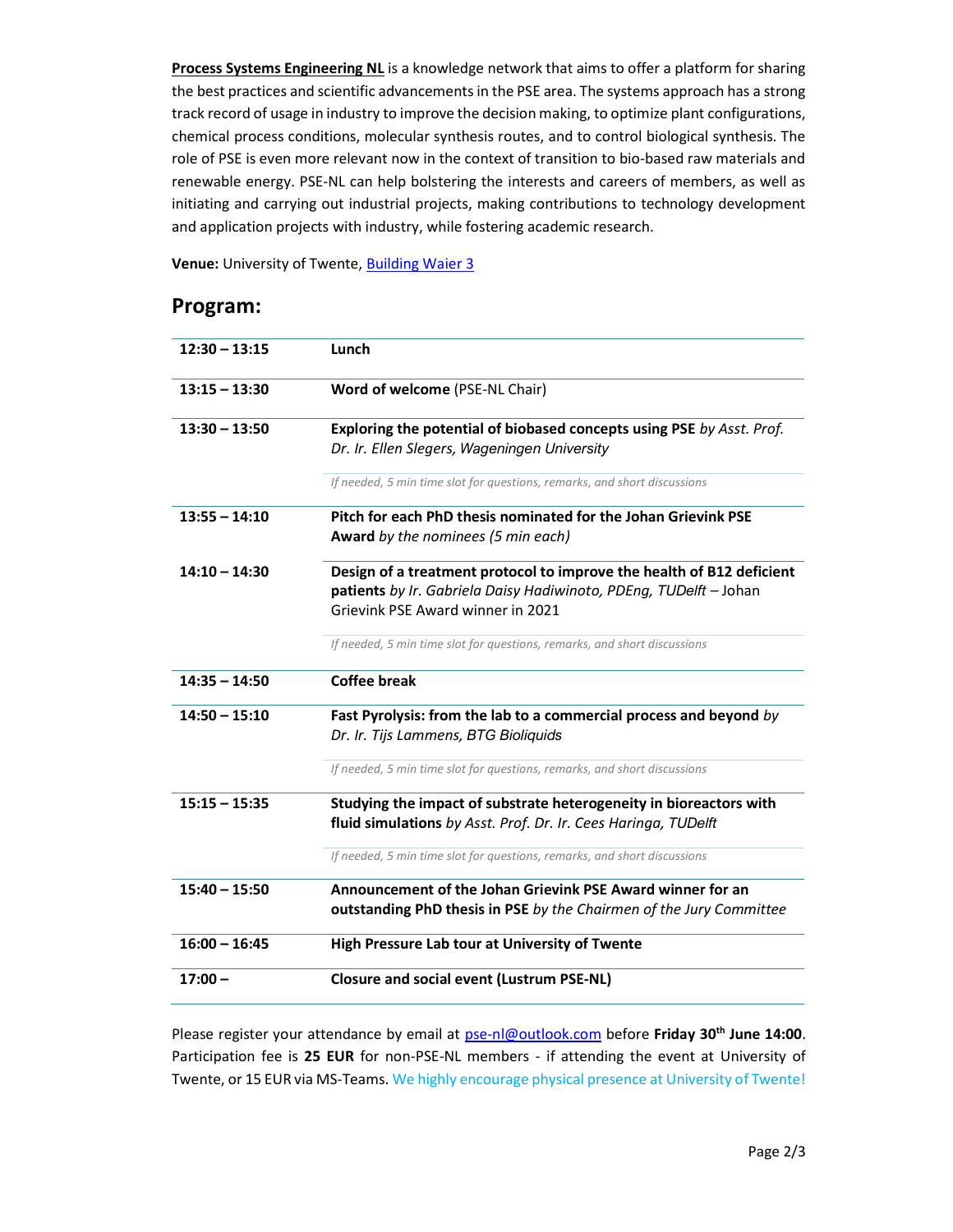Process Systems Engineering NL is a knowledge network that aims to offer a platform for sharing the best practices and scientific advancements in the PSE area. The systems approach has a strong track record of usage in industry to improve the decision making, to optimize plant configurations, chemical process conditions, molecular synthesis routes, and to control biological synthesis. The role of PSE is even more relevant now in the context of transition to bio-based raw materials and renewable energy. PSE-NL can help bolstering the interests and careers of members, as well as initiating and carrying out industrial projects, making contributions to technology development and application projects with industry, while fostering academic research.

Venue: University of Twente, Building Waier 3

### Program:

| $12:30 - 13:15$ | Lunch                                                                                                                                                                           |
|-----------------|---------------------------------------------------------------------------------------------------------------------------------------------------------------------------------|
| $13:15 - 13:30$ | Word of welcome (PSE-NL Chair)                                                                                                                                                  |
| $13:30 - 13:50$ | Exploring the potential of biobased concepts using PSE by Asst. Prof.<br>Dr. Ir. Ellen Slegers, Wageningen University                                                           |
|                 | If needed, 5 min time slot for questions, remarks, and short discussions                                                                                                        |
| $13:55 - 14:10$ | Pitch for each PhD thesis nominated for the Johan Grievink PSE<br><b>Award</b> by the nominees (5 min each)                                                                     |
| $14:10 - 14:30$ | Design of a treatment protocol to improve the health of B12 deficient<br>patients by Ir. Gabriela Daisy Hadiwinoto, PDEng, TUDelft - Johan<br>Grievink PSF Award winner in 2021 |
|                 | If needed, 5 min time slot for questions, remarks, and short discussions                                                                                                        |
| $14:35 - 14:50$ | Coffee break                                                                                                                                                                    |
| $14:50 - 15:10$ | Fast Pyrolysis: from the lab to a commercial process and beyond by<br>Dr. Ir. Tijs Lammens, BTG Bioliquids                                                                      |
|                 | If needed, 5 min time slot for questions, remarks, and short discussions                                                                                                        |
| $15:15 - 15:35$ | Studying the impact of substrate heterogeneity in bioreactors with<br>fluid simulations by Asst. Prof. Dr. Ir. Cees Haringa, TUDelft                                            |
|                 | If needed, 5 min time slot for questions, remarks, and short discussions                                                                                                        |
| $15:40 - 15:50$ | Announcement of the Johan Grievink PSE Award winner for an<br>outstanding PhD thesis in PSE by the Chairmen of the Jury Committee                                               |
| $16:00 - 16:45$ | High Pressure Lab tour at University of Twente                                                                                                                                  |
| $17:00 -$       | <b>Closure and social event (Lustrum PSE-NL)</b>                                                                                                                                |

Please register your attendance by email at pse-nl@outlook.com before Friday 30<sup>th</sup> June 14:00. Participation fee is 25 EUR for non-PSE-NL members - if attending the event at University of Twente, or 15 EUR via MS-Teams. We highly encourage physical presence at University of Twente!